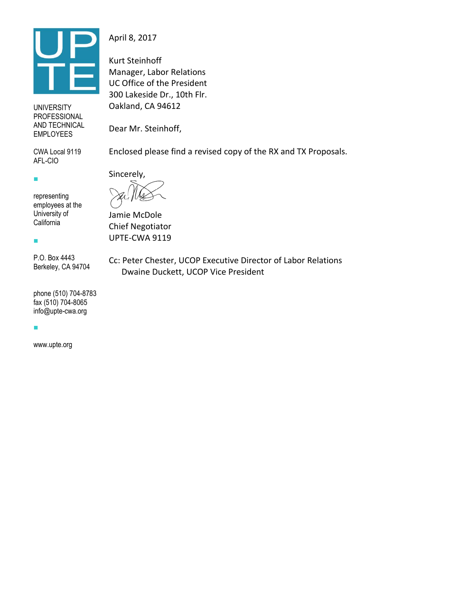

UNIVERSITY PROFESSIONAL AND TECHNICAL EMPLOYEES

CWA Local 9119 AFL-CIO

representing employees at the University of **California** 

 $\mathbf{r}$ 

 $\mathbf{r}$ 

P.O. Box 4443 Berkeley, CA 94704

phone (510) 704-8783 fax (510) 704-8065 info@upte-cwa.org

Ī.

www.upte.org

April 8, 2017

Kurt Steinhoff Manager, Labor Relations UC Office of the President 300 Lakeside Dr., 10th Flr. Oakland, CA 94612

Dear Mr. Steinhoff,

Enclosed please find a revised copy of the RX and TX Proposals.

Sincerely,

Jamie McDole Chief Negotiator UPTE-CWA 9119

Cc: Peter Chester, UCOP Executive Director of Labor Relations Dwaine Duckett, UCOP Vice President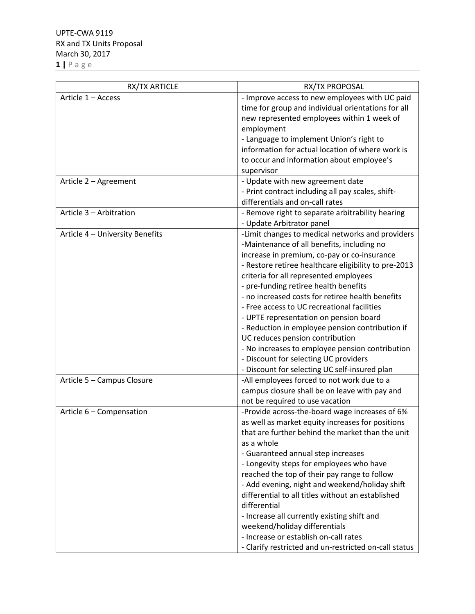| RX/TX ARTICLE                   | RX/TX PROPOSAL                                        |
|---------------------------------|-------------------------------------------------------|
| Article 1 - Access              | - Improve access to new employees with UC paid        |
|                                 | time for group and individual orientations for all    |
|                                 | new represented employees within 1 week of            |
|                                 | employment                                            |
|                                 | - Language to implement Union's right to              |
|                                 | information for actual location of where work is      |
|                                 | to occur and information about employee's             |
|                                 | supervisor                                            |
| Article 2 - Agreement           | - Update with new agreement date                      |
|                                 | - Print contract including all pay scales, shift-     |
|                                 | differentials and on-call rates                       |
| Article 3 - Arbitration         | - Remove right to separate arbitrability hearing      |
|                                 | - Update Arbitrator panel                             |
| Article 4 - University Benefits | -Limit changes to medical networks and providers      |
|                                 | -Maintenance of all benefits, including no            |
|                                 | increase in premium, co-pay or co-insurance           |
|                                 | - Restore retiree healthcare eligibility to pre-2013  |
|                                 | criteria for all represented employees                |
|                                 | - pre-funding retiree health benefits                 |
|                                 | - no increased costs for retiree health benefits      |
|                                 | - Free access to UC recreational facilities           |
|                                 | - UPTE representation on pension board                |
|                                 | - Reduction in employee pension contribution if       |
|                                 | UC reduces pension contribution                       |
|                                 | - No increases to employee pension contribution       |
|                                 | - Discount for selecting UC providers                 |
|                                 | - Discount for selecting UC self-insured plan         |
| Article 5 - Campus Closure      | -All employees forced to not work due to a            |
|                                 | campus closure shall be on leave with pay and         |
|                                 | not be required to use vacation                       |
| Article 6 - Compensation        | -Provide across-the-board wage increases of 6%        |
|                                 | as well as market equity increases for positions      |
|                                 | that are further behind the market than the unit      |
|                                 | as a whole                                            |
|                                 | - Guaranteed annual step increases                    |
|                                 | - Longevity steps for employees who have              |
|                                 | reached the top of their pay range to follow          |
|                                 | - Add evening, night and weekend/holiday shift        |
|                                 | differential to all titles without an established     |
|                                 | differential                                          |
|                                 | - Increase all currently existing shift and           |
|                                 | weekend/holiday differentials                         |
|                                 | - Increase or establish on-call rates                 |
|                                 | - Clarify restricted and un-restricted on-call status |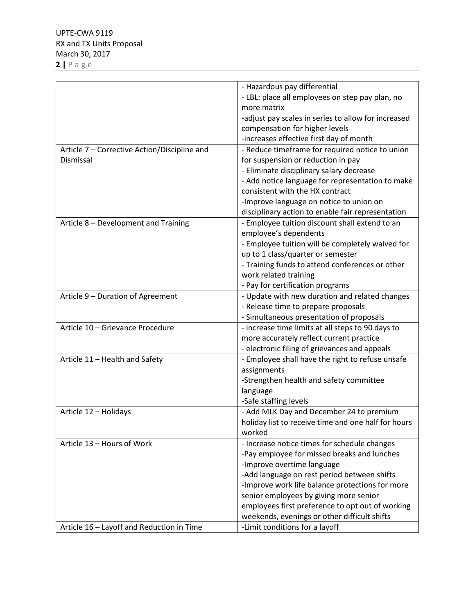|                                              | - Hazardous pay differential                                    |
|----------------------------------------------|-----------------------------------------------------------------|
|                                              | - LBL: place all employees on step pay plan, no                 |
|                                              | more matrix                                                     |
|                                              | -adjust pay scales in series to allow for increased             |
|                                              | compensation for higher levels                                  |
|                                              | -increases effective first day of month                         |
| Article 7 - Corrective Action/Discipline and | - Reduce timeframe for required notice to union                 |
| Dismissal                                    | for suspension or reduction in pay                              |
|                                              | - Eliminate disciplinary salary decrease                        |
|                                              | - Add notice language for representation to make                |
|                                              | consistent with the HX contract                                 |
|                                              | -Improve language on notice to union on                         |
|                                              | disciplinary action to enable fair representation               |
| Article 8 - Development and Training         | - Employee tuition discount shall extend to an                  |
|                                              | employee's dependents                                           |
|                                              | - Employee tuition will be completely waived for                |
|                                              | up to 1 class/quarter or semester                               |
|                                              | - Training funds to attend conferences or other                 |
|                                              | work related training                                           |
|                                              | - Pay for certification programs                                |
| Article 9 - Duration of Agreement            | - Update with new duration and related changes                  |
|                                              | - Release time to prepare proposals                             |
|                                              | - Simultaneous presentation of proposals                        |
| Article 10 - Grievance Procedure             | - increase time limits at all steps to 90 days to               |
|                                              | more accurately reflect current practice                        |
|                                              |                                                                 |
|                                              | - electronic filing of grievances and appeals                   |
| Article 11 - Health and Safety               | - Employee shall have the right to refuse unsafe<br>assignments |
|                                              |                                                                 |
|                                              | -Strengthen health and safety committee                         |
|                                              | language                                                        |
|                                              | -Safe staffing levels                                           |
| Article 12 - Holidays                        | - Add MLK Day and December 24 to premium                        |
|                                              | holiday list to receive time and one half for hours             |
|                                              | worked                                                          |
| Article 13 - Hours of Work                   | - Increase notice times for schedule changes                    |
|                                              | -Pay employee for missed breaks and lunches                     |
|                                              | -Improve overtime language                                      |
|                                              | -Add language on rest period between shifts                     |
|                                              | -Improve work life balance protections for more                 |
|                                              | senior employees by giving more senior                          |
|                                              | employees first preference to opt out of working                |
|                                              | weekends, evenings or other difficult shifts                    |
| Article 16 - Layoff and Reduction in Time    | -Limit conditions for a layoff                                  |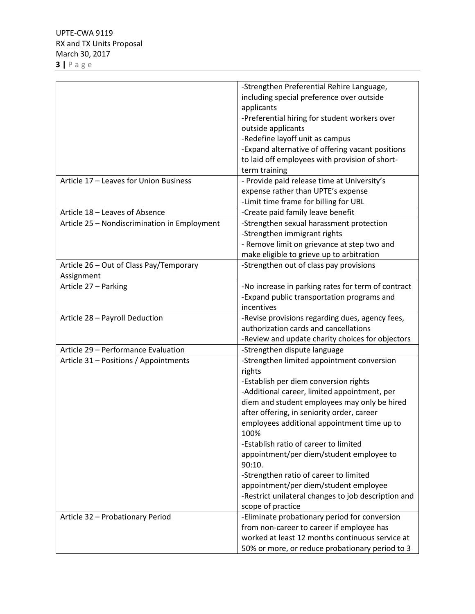|                                              | -Strengthen Preferential Rehire Language,           |
|----------------------------------------------|-----------------------------------------------------|
|                                              | including special preference over outside           |
|                                              | applicants                                          |
|                                              | -Preferential hiring for student workers over       |
|                                              | outside applicants                                  |
|                                              | -Redefine layoff unit as campus                     |
|                                              | -Expand alternative of offering vacant positions    |
|                                              | to laid off employees with provision of short-      |
|                                              | term training                                       |
| Article 17 - Leaves for Union Business       | - Provide paid release time at University's         |
|                                              |                                                     |
|                                              | expense rather than UPTE's expense                  |
|                                              | -Limit time frame for billing for UBL               |
| Article 18 - Leaves of Absence               | -Create paid family leave benefit                   |
| Article 25 - Nondiscrimination in Employment | -Strengthen sexual harassment protection            |
|                                              | -Strengthen immigrant rights                        |
|                                              | - Remove limit on grievance at step two and         |
|                                              | make eligible to grieve up to arbitration           |
| Article 26 - Out of Class Pay/Temporary      | -Strengthen out of class pay provisions             |
| Assignment                                   |                                                     |
| Article 27 - Parking                         | -No increase in parking rates for term of contract  |
|                                              | -Expand public transportation programs and          |
|                                              | incentives                                          |
| Article 28 - Payroll Deduction               | -Revise provisions regarding dues, agency fees,     |
|                                              | authorization cards and cancellations               |
|                                              | -Review and update charity choices for objectors    |
| Article 29 - Performance Evaluation          | -Strengthen dispute language                        |
| Article 31 - Positions / Appointments        | -Strengthen limited appointment conversion          |
|                                              |                                                     |
|                                              | rights                                              |
|                                              | -Establish per diem conversion rights               |
|                                              | -Additional career, limited appointment, per        |
|                                              | diem and student employees may only be hired        |
|                                              | after offering, in seniority order, career          |
|                                              | employees additional appointment time up to         |
|                                              | 100%                                                |
|                                              | -Establish ratio of career to limited               |
|                                              | appointment/per diem/student employee to            |
|                                              | 90:10.                                              |
|                                              | -Strengthen ratio of career to limited              |
|                                              | appointment/per diem/student employee               |
|                                              | -Restrict unilateral changes to job description and |
|                                              | scope of practice                                   |
| Article 32 - Probationary Period             | -Eliminate probationary period for conversion       |
|                                              | from non-career to career if employee has           |
|                                              | worked at least 12 months continuous service at     |
|                                              |                                                     |
|                                              | 50% or more, or reduce probationary period to 3     |